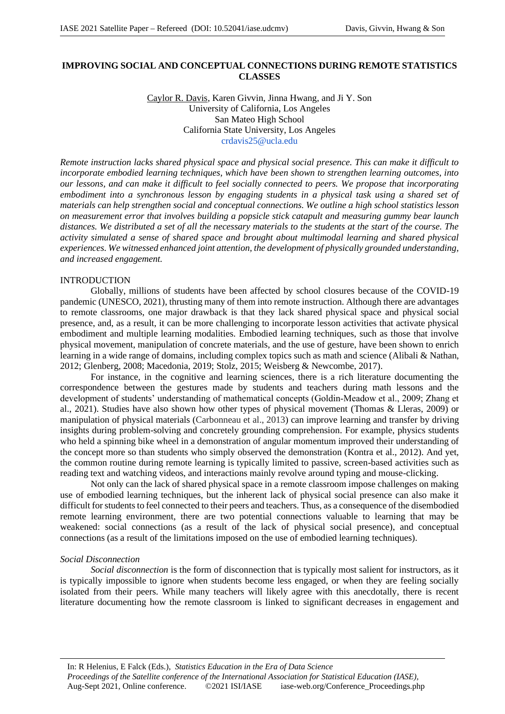# **IMPROVING SOCIAL AND CONCEPTUAL CONNECTIONS DURING REMOTE STATISTICS CLASSES**

Caylor R. Davis, Karen Givvin, Jinna Hwang, and Ji Y. Son University of California, Los Angeles San Mateo High School California State University, Los Angeles crdavis25@ucla.edu

*Remote instruction lacks shared physical space and physical social presence. This can make it difficult to incorporate embodied learning techniques, which have been shown to strengthen learning outcomes, into our lessons, and can make it difficult to feel socially connected to peers. We propose that incorporating embodiment into a synchronous lesson by engaging students in a physical task using a shared set of materials can help strengthen social and conceptual connections. We outline a high school statistics lesson on measurement error that involves building a popsicle stick catapult and measuring gummy bear launch distances. We distributed a set of all the necessary materials to the students at the start of the course. The activity simulated a sense of shared space and brought about multimodal learning and shared physical experiences. We witnessed enhanced joint attention, the development of physically grounded understanding, and increased engagement.* 

#### INTRODUCTION

Globally, millions of students have been affected by school closures because of the COVID-19 pandemic (UNESCO, 2021), thrusting many of them into remote instruction. Although there are advantages to remote classrooms, one major drawback is that they lack shared physical space and physical social presence, and, as a result, it can be more challenging to incorporate lesson activities that activate physical embodiment and multiple learning modalities. Embodied learning techniques, such as those that involve physical movement, manipulation of concrete materials, and the use of gesture, have been shown to enrich learning in a wide range of domains, including complex topics such as math and science (Alibali & Nathan, 2012; Glenberg, 2008; Macedonia, 2019; Stolz, 2015; Weisberg & Newcombe, 2017).

For instance, in the cognitive and learning sciences, there is a rich literature documenting the correspondence between the gestures made by students and teachers during math lessons and the development of students' understanding of mathematical concepts (Goldin‐Meadow et al., 2009; Zhang et al., 2021). Studies have also shown how other types of physical movement (Thomas & Lleras, 2009) or manipulation of physical materials (Carbonneau et al., 2013) can improve learning and transfer by driving insights during problem-solving and concretely grounding comprehension. For example, physics students who held a spinning bike wheel in a demonstration of angular momentum improved their understanding of the concept more so than students who simply observed the demonstration (Kontra et al., 2012). And yet, the common routine during remote learning is typically limited to passive, screen-based activities such as reading text and watching videos, and interactions mainly revolve around typing and mouse-clicking.

Not only can the lack of shared physical space in a remote classroom impose challenges on making use of embodied learning techniques, but the inherent lack of physical social presence can also make it difficult for students to feel connected to their peers and teachers. Thus, as a consequence of the disembodied remote learning environment, there are two potential connections valuable to learning that may be weakened: social connections (as a result of the lack of physical social presence), and conceptual connections (as a result of the limitations imposed on the use of embodied learning techniques).

#### *Social Disconnection*

*Social disconnection* is the form of disconnection that is typically most salient for instructors, as it is typically impossible to ignore when students become less engaged, or when they are feeling socially isolated from their peers. While many teachers will likely agree with this anecdotally, there is recent literature documenting how the remote classroom is linked to significant decreases in engagement and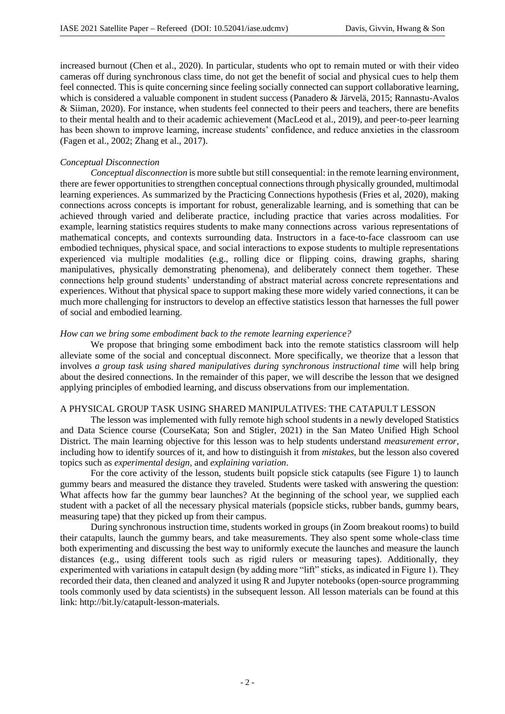increased burnout (Chen et al., 2020). In particular, students who opt to remain muted or with their video cameras off during synchronous class time, do not get the benefit of social and physical cues to help them feel connected. This is quite concerning since feeling socially connected can support collaborative learning, which is considered a valuable component in student success (Panadero & Järvelä, 2015; Rannastu-Avalos & Siiman, 2020). For instance, when students feel connected to their peers and teachers, there are benefits to their mental health and to their academic achievement (MacLeod et al., 2019), and peer-to-peer learning has been shown to improve learning, increase students' confidence, and reduce anxieties in the classroom (Fagen et al., 2002; Zhang et al., 2017).

## *Conceptual Disconnection*

*Conceptual disconnection* is more subtle but still consequential: in the remote learning environment, there are fewer opportunities to strengthen conceptual connections through physically grounded, multimodal learning experiences. As summarized by the Practicing Connections hypothesis (Fries et al, 2020), making connections across concepts is important for robust, generalizable learning, and is something that can be achieved through varied and deliberate practice, including practice that varies across modalities. For example, learning statistics requires students to make many connections across various representations of mathematical concepts, and contexts surrounding data. Instructors in a face-to-face classroom can use embodied techniques, physical space, and social interactions to expose students to multiple representations experienced via multiple modalities (e.g., rolling dice or flipping coins, drawing graphs, sharing manipulatives, physically demonstrating phenomena), and deliberately connect them together. These connections help ground students' understanding of abstract material across concrete representations and experiences. Without that physical space to support making these more widely varied connections, it can be much more challenging for instructors to develop an effective statistics lesson that harnesses the full power of social and embodied learning.

## *How can we bring some embodiment back to the remote learning experience?*

We propose that bringing some embodiment back into the remote statistics classroom will help alleviate some of the social and conceptual disconnect. More specifically, we theorize that a lesson that involves *a group task using shared manipulatives during synchronous instructional time* will help bring about the desired connections. In the remainder of this paper, we will describe the lesson that we designed applying principles of embodied learning, and discuss observations from our implementation.

#### A PHYSICAL GROUP TASK USING SHARED MANIPULATIVES: THE CATAPULT LESSON

The lesson was implemented with fully remote high school students in a newly developed Statistics and Data Science course (CourseKata; Son and Stigler, 2021) in the San Mateo Unified High School District. The main learning objective for this lesson was to help students understand *measurement error*, including how to identify sources of it, and how to distinguish it from *mistakes*, but the lesson also covered topics such as *experimental design*, and *explaining variation*.

For the core activity of the lesson, students built popsicle stick catapults (see Figure 1) to launch gummy bears and measured the distance they traveled. Students were tasked with answering the question: What affects how far the gummy bear launches? At the beginning of the school year, we supplied each student with a packet of all the necessary physical materials (popsicle sticks, rubber bands, gummy bears, measuring tape) that they picked up from their campus.

During synchronous instruction time, students worked in groups (in Zoom breakout rooms) to build their catapults, launch the gummy bears, and take measurements. They also spent some whole-class time both experimenting and discussing the best way to uniformly execute the launches and measure the launch distances (e.g., using different tools such as rigid rulers or measuring tapes). Additionally, they experimented with variations in catapult design (by adding more "lift" sticks, as indicated in Figure 1). They recorded their data, then cleaned and analyzed it using R and Jupyter notebooks (open-source programming tools commonly used by data scientists) in the subsequent lesson. All lesson materials can be found at this link: http://bit.ly/catapult-lesson-materials.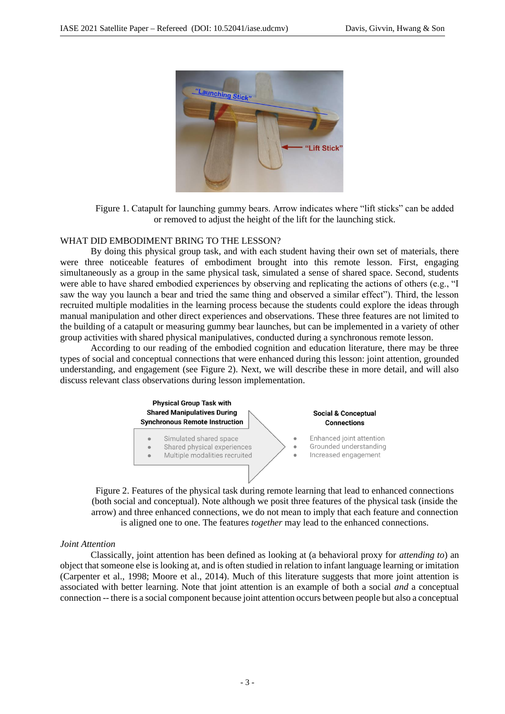

Figure 1. Catapult for launching gummy bears. Arrow indicates where "lift sticks" can be added or removed to adjust the height of the lift for the launching stick.

## WHAT DID EMBODIMENT BRING TO THE LESSON?

By doing this physical group task, and with each student having their own set of materials, there were three noticeable features of embodiment brought into this remote lesson. First, engaging simultaneously as a group in the same physical task, simulated a sense of shared space. Second, students were able to have shared embodied experiences by observing and replicating the actions of others (e.g., "I saw the way you launch a bear and tried the same thing and observed a similar effect"). Third, the lesson recruited multiple modalities in the learning process because the students could explore the ideas through manual manipulation and other direct experiences and observations. These three features are not limited to the building of a catapult or measuring gummy bear launches, but can be implemented in a variety of other group activities with shared physical manipulatives, conducted during a synchronous remote lesson.

According to our reading of the embodied cognition and education literature, there may be three types of social and conceptual connections that were enhanced during this lesson: joint attention, grounded understanding, and engagement (see Figure 2). Next, we will describe these in more detail, and will also discuss relevant class observations during lesson implementation.



Figure 2. Features of the physical task during remote learning that lead to enhanced connections (both social and conceptual). Note although we posit three features of the physical task (inside the arrow) and three enhanced connections, we do not mean to imply that each feature and connection is aligned one to one. The features *together* may lead to the enhanced connections.

## *Joint Attention*

Classically, joint attention has been defined as looking at (a behavioral proxy for *attending to*) an object that someone else is looking at, and is often studied in relation to infant language learning or imitation (Carpenter et al., 1998; Moore et al., 2014). Much of this literature suggests that more joint attention is associated with better learning. Note that joint attention is an example of both a social *and* a conceptual connection -- there is a social component because joint attention occurs between people but also a conceptual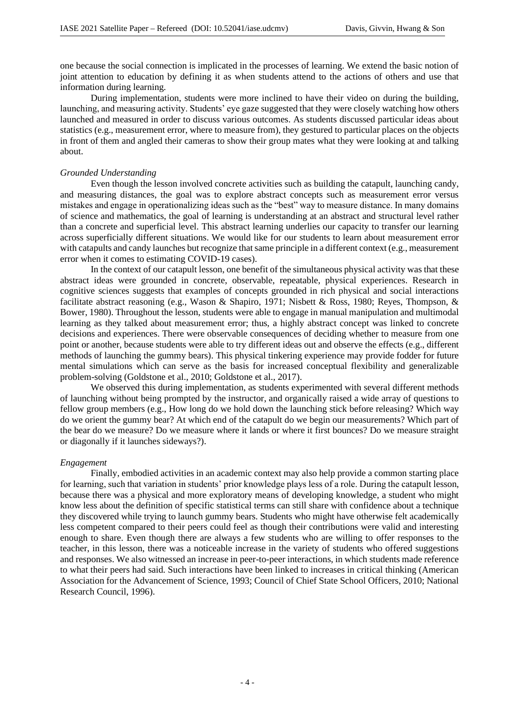one because the social connection is implicated in the processes of learning. We extend the basic notion of joint attention to education by defining it as when students attend to the actions of others and use that information during learning.

During implementation, students were more inclined to have their video on during the building, launching, and measuring activity. Students' eye gaze suggested that they were closely watching how others launched and measured in order to discuss various outcomes. As students discussed particular ideas about statistics (e.g., measurement error, where to measure from), they gestured to particular places on the objects in front of them and angled their cameras to show their group mates what they were looking at and talking about.

## *Grounded Understanding*

Even though the lesson involved concrete activities such as building the catapult, launching candy, and measuring distances, the goal was to explore abstract concepts such as measurement error versus mistakes and engage in operationalizing ideas such as the "best" way to measure distance. In many domains of science and mathematics, the goal of learning is understanding at an abstract and structural level rather than a concrete and superficial level. This abstract learning underlies our capacity to transfer our learning across superficially different situations. We would like for our students to learn about measurement error with catapults and candy launches but recognize that same principle in a different context (e.g., measurement error when it comes to estimating COVID-19 cases).

In the context of our catapult lesson, one benefit of the simultaneous physical activity was that these abstract ideas were grounded in concrete, observable, repeatable, physical experiences. Research in cognitive sciences suggests that examples of concepts grounded in rich physical and social interactions facilitate abstract reasoning (e.g., Wason & Shapiro, 1971; Nisbett & Ross, 1980; Reyes, Thompson, & Bower, 1980). Throughout the lesson, students were able to engage in manual manipulation and multimodal learning as they talked about measurement error; thus, a highly abstract concept was linked to concrete decisions and experiences. There were observable consequences of deciding whether to measure from one point or another, because students were able to try different ideas out and observe the effects (e.g., different methods of launching the gummy bears). This physical tinkering experience may provide fodder for future mental simulations which can serve as the basis for increased conceptual flexibility and generalizable problem-solving (Goldstone et al., 2010; Goldstone et al., 2017).

We observed this during implementation, as students experimented with several different methods of launching without being prompted by the instructor, and organically raised a wide array of questions to fellow group members (e.g., How long do we hold down the launching stick before releasing? Which way do we orient the gummy bear? At which end of the catapult do we begin our measurements? Which part of the bear do we measure? Do we measure where it lands or where it first bounces? Do we measure straight or diagonally if it launches sideways?).

## *Engagement*

Finally, embodied activities in an academic context may also help provide a common starting place for learning, such that variation in students' prior knowledge plays less of a role. During the catapult lesson, because there was a physical and more exploratory means of developing knowledge, a student who might know less about the definition of specific statistical terms can still share with confidence about a technique they discovered while trying to launch gummy bears. Students who might have otherwise felt academically less competent compared to their peers could feel as though their contributions were valid and interesting enough to share. Even though there are always a few students who are willing to offer responses to the teacher, in this lesson, there was a noticeable increase in the variety of students who offered suggestions and responses. We also witnessed an increase in peer-to-peer interactions, in which students made reference to what their peers had said. Such interactions have been linked to increases in critical thinking (American Association for the Advancement of Science, 1993; Council of Chief State School Officers, 2010; National Research Council, 1996).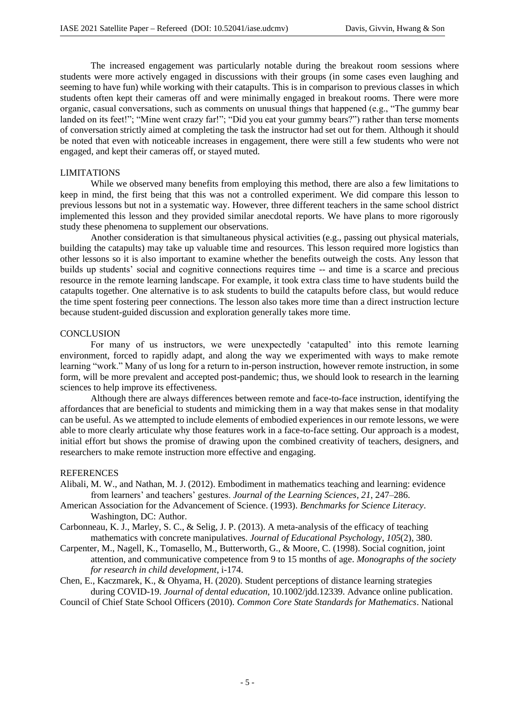The increased engagement was particularly notable during the breakout room sessions where students were more actively engaged in discussions with their groups (in some cases even laughing and seeming to have fun) while working with their catapults. This is in comparison to previous classes in which students often kept their cameras off and were minimally engaged in breakout rooms. There were more organic, casual conversations, such as comments on unusual things that happened (e.g., "The gummy bear landed on its feet!"; "Mine went crazy far!"; "Did you eat your gummy bears?") rather than terse moments of conversation strictly aimed at completing the task the instructor had set out for them. Although it should be noted that even with noticeable increases in engagement, there were still a few students who were not engaged, and kept their cameras off, or stayed muted.

#### LIMITATIONS

While we observed many benefits from employing this method, there are also a few limitations to keep in mind, the first being that this was not a controlled experiment. We did compare this lesson to previous lessons but not in a systematic way. However, three different teachers in the same school district implemented this lesson and they provided similar anecdotal reports. We have plans to more rigorously study these phenomena to supplement our observations.

Another consideration is that simultaneous physical activities (e.g., passing out physical materials, building the catapults) may take up valuable time and resources. This lesson required more logistics than other lessons so it is also important to examine whether the benefits outweigh the costs. Any lesson that builds up students' social and cognitive connections requires time -- and time is a scarce and precious resource in the remote learning landscape. For example, it took extra class time to have students build the catapults together. One alternative is to ask students to build the catapults before class, but would reduce the time spent fostering peer connections. The lesson also takes more time than a direct instruction lecture because student-guided discussion and exploration generally takes more time.

## **CONCLUSION**

For many of us instructors, we were unexpectedly 'catapulted' into this remote learning environment, forced to rapidly adapt, and along the way we experimented with ways to make remote learning "work." Many of us long for a return to in-person instruction, however remote instruction, in some form, will be more prevalent and accepted post-pandemic; thus, we should look to research in the learning sciences to help improve its effectiveness.

Although there are always differences between remote and face-to-face instruction, identifying the affordances that are beneficial to students and mimicking them in a way that makes sense in that modality can be useful. As we attempted to include elements of embodied experiences in our remote lessons, we were able to more clearly articulate why those features work in a face-to-face setting. Our approach is a modest, initial effort but shows the promise of drawing upon the combined creativity of teachers, designers, and researchers to make remote instruction more effective and engaging.

#### **REFERENCES**

- Alibali, M. W., and Nathan, M. J. (2012). Embodiment in mathematics teaching and learning: evidence from learners' and teachers' gestures. *Journal of the Learning Sciences, 21*, 247–286.
- American Association for the Advancement of Science. (1993). *Benchmarks for Science Literacy*. Washington, DC: Author.
- Carbonneau, K. J., Marley, S. C., & Selig, J. P. (2013). A meta-analysis of the efficacy of teaching mathematics with concrete manipulatives. *Journal of Educational Psychology*, *105*(2), 380.
- Carpenter, M., Nagell, K., Tomasello, M., Butterworth, G., & Moore, C. (1998). Social cognition, joint attention, and communicative competence from 9 to 15 months of age. *Monographs of the society for research in child development*, i-174.
- Chen, E., Kaczmarek, K., & Ohyama, H. (2020). Student perceptions of distance learning strategies during COVID-19. *Journal of dental education*, 10.1002/jdd.12339. Advance online publication.

Council of Chief State School Officers (2010). *Common Core State Standards for Mathematics*. National